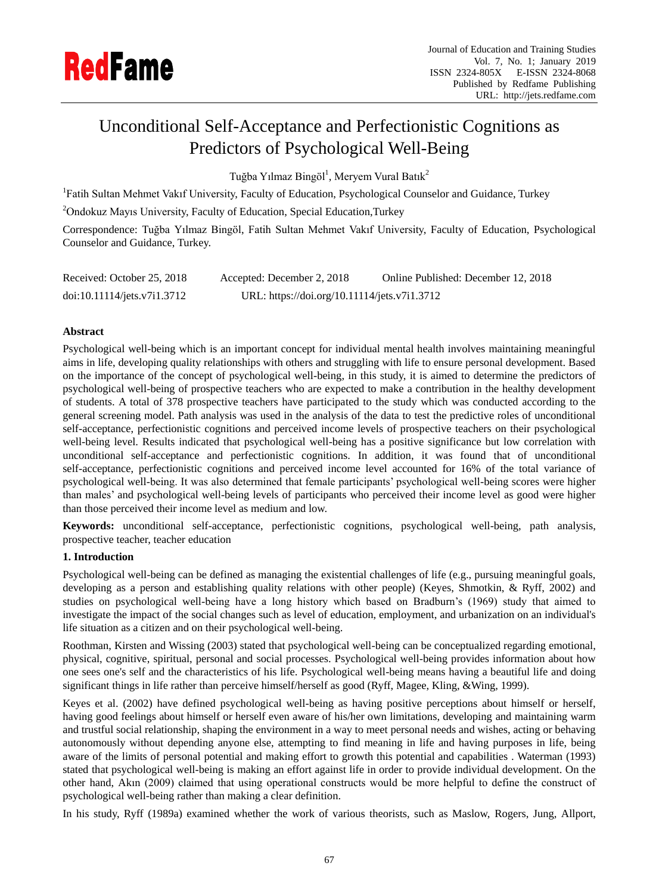# Unconditional Self-Acceptance and Perfectionistic Cognitions as Predictors of Psychological Well-Being

Tuğba Yılmaz Bingöl<sup>1</sup>, Meryem Vural Batık<sup>2</sup>

<sup>1</sup>Fatih Sultan Mehmet Vakıf University, Faculty of Education, Psychological Counselor and Guidance, Turkey

<sup>2</sup>Ondokuz Mayıs University, Faculty of Education, Special Education, Turkey

Correspondence: Tuğba Yılmaz Bingöl, Fatih Sultan Mehmet Vakıf University, Faculty of Education, Psychological Counselor and Guidance, Turkey.

| Received: October 25, 2018  | Accepted: December 2, 2018                   | Online Published: December 12, 2018 |
|-----------------------------|----------------------------------------------|-------------------------------------|
| doi:10.11114/jets.v7i1.3712 | URL: https://doi.org/10.11114/jets.v7i1.3712 |                                     |

# **Abstract**

Psychological well-being which is an important concept for individual mental health involves maintaining meaningful aims in life, developing quality relationships with others and struggling with life to ensure personal development. Based on the importance of the concept of psychological well-being, in this study, it is aimed to determine the predictors of psychological well-being of prospective teachers who are expected to make a contribution in the healthy development of students. A total of 378 prospective teachers have participated to the study which was conducted according to the general screening model. Path analysis was used in the analysis of the data to test the predictive roles of unconditional self-acceptance, perfectionistic cognitions and perceived income levels of prospective teachers on their psychological well-being level. Results indicated that psychological well-being has a positive significance but low correlation with unconditional self-acceptance and perfectionistic cognitions. In addition, it was found that of unconditional self-acceptance, perfectionistic cognitions and perceived income level accounted for 16% of the total variance of psychological well-being. It was also determined that female participants' psychological well-being scores were higher than males' and psychological well-being levels of participants who perceived their income level as good were higher than those perceived their income level as medium and low.

**Keywords:** unconditional self-acceptance, perfectionistic cognitions, psychological well-being, path analysis, prospective teacher, teacher education

# **1. Introduction**

Psychological well-being can be defined as managing the existential challenges of life (e.g., pursuing meaningful goals, developing as a person and establishing quality relations with other people) (Keyes, Shmotkin, & Ryff, 2002) and studies on psychological well-being have a long history which based on Bradburn's (1969) study that aimed to investigate the impact of the social changes such as level of education, employment, and urbanization on an individual's life situation as a citizen and on their psychological well-being.

Roothman, Kirsten and Wissing (2003) stated that psychological well-being can be conceptualized regarding emotional, physical, cognitive, spiritual, personal and social processes. Psychological well-being provides information about how one sees one's self and the characteristics of his life. Psychological well-being means having a beautiful life and doing significant things in life rather than perceive himself/herself as good (Ryff, Magee, Kling, &Wing, 1999).

Keyes et al. (2002) have defined psychological well-being as having positive perceptions about himself or herself, having good feelings about himself or herself even aware of his/her own limitations, developing and maintaining warm and trustful social relationship, shaping the environment in a way to meet personal needs and wishes, acting or behaving autonomously without depending anyone else, attempting to find meaning in life and having purposes in life, being aware of the limits of personal potential and making effort to growth this potential and capabilities . Waterman (1993) stated that psychological well-being is making an effort against life in order to provide individual development. On the other hand, Akın (2009) claimed that using operational constructs would be more helpful to define the construct of psychological well-being rather than making a clear definition.

In his study, Ryff (1989a) examined whether the work of various theorists, such as Maslow, Rogers, Jung, Allport,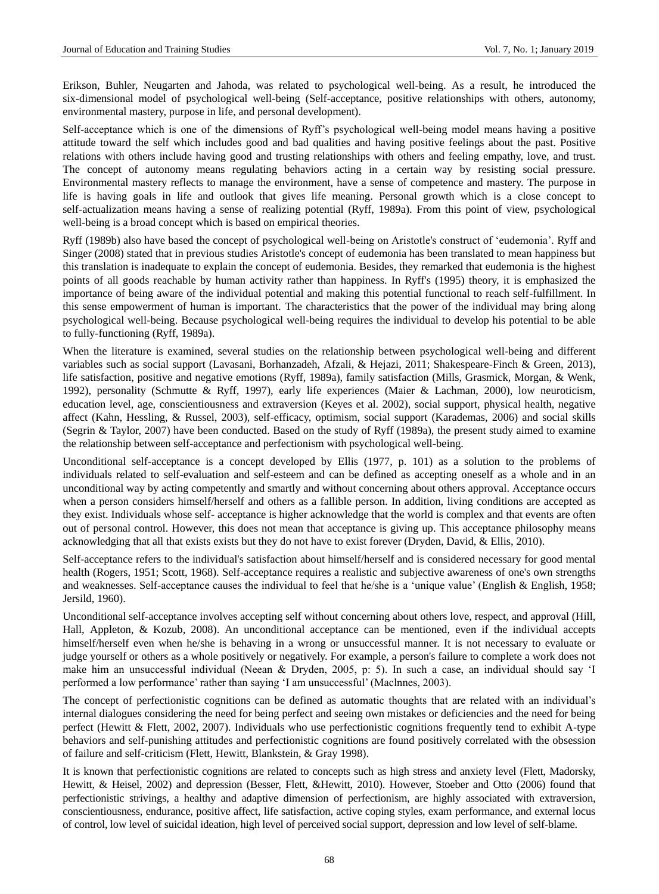Erikson, Buhler, Neugarten and Jahoda, was related to psychological well-being. As a result, he introduced the six-dimensional model of psychological well-being (Self-acceptance, positive relationships with others, autonomy, environmental mastery, purpose in life, and personal development).

Self-acceptance which is one of the dimensions of Ryff's psychological well-being model means having a positive attitude toward the self which includes good and bad qualities and having positive feelings about the past. Positive relations with others include having good and trusting relationships with others and feeling empathy, love, and trust. The concept of autonomy means regulating behaviors acting in a certain way by resisting social pressure. Environmental mastery reflects to manage the environment, have a sense of competence and mastery. The purpose in life is having goals in life and outlook that gives life meaning. Personal growth which is a close concept to self-actualization means having a sense of realizing potential (Ryff, 1989a). From this point of view, psychological well-being is a broad concept which is based on empirical theories.

Ryff (1989b) also have based the concept of psychological well-being on Aristotle's construct of 'eudemonia'. Ryff and Singer (2008) stated that in previous studies Aristotle's concept of eudemonia has been translated to mean happiness but this translation is inadequate to explain the concept of eudemonia. Besides, they remarked that eudemonia is the highest points of all goods reachable by human activity rather than happiness. In Ryff's (1995) theory, it is emphasized the importance of being aware of the individual potential and making this potential functional to reach self-fulfillment. In this sense empowerment of human is important. The characteristics that the power of the individual may bring along psychological well-being. Because psychological well-being requires the individual to develop his potential to be able to fully-functioning (Ryff, 1989a).

When the literature is examined, several studies on the relationship between psychological well-being and different variables such as social support (Lavasani, Borhanzadeh, Afzali, & Hejazi, 2011; Shakespeare-Finch & Green, 2013), life satisfaction, positive and negative emotions (Ryff, 1989a), family satisfaction (Mills, Grasmick, Morgan, & Wenk, 1992), personality (Schmutte & Ryff, 1997), early life experiences (Maier & Lachman, 2000), low neuroticism, education level, age, conscientiousness and extraversion (Keyes et al. 2002), social support, physical health, negative affect (Kahn, Hessling, & Russel, 2003), self-efficacy, optimism, social support (Karademas, 2006) and social skills (Segrin & Taylor, 2007) have been conducted. Based on the study of Ryff (1989a), the present study aimed to examine the relationship between self-acceptance and perfectionism with psychological well-being.

Unconditional self-acceptance is a concept developed by Ellis (1977, p. 101) as a solution to the problems of individuals related to self-evaluation and self-esteem and can be defined as accepting oneself as a whole and in an unconditional way by acting competently and smartly and without concerning about others approval. Acceptance occurs when a person considers himself/herself and others as a fallible person. In addition, living conditions are accepted as they exist. Individuals whose self- acceptance is higher acknowledge that the world is complex and that events are often out of personal control. However, this does not mean that acceptance is giving up. This acceptance philosophy means acknowledging that all that exists exists but they do not have to exist forever (Dryden, David, & Ellis, 2010).

Self-acceptance refers to the individual's satisfaction about himself/herself and is considered necessary for good mental health (Rogers, 1951; Scott, 1968). Self-acceptance requires a realistic and subjective awareness of one's own strengths and weaknesses. Self-acceptance causes the individual to feel that he/she is a 'unique value' (English & English, 1958; Jersild, 1960).

Unconditional self-acceptance involves accepting self without concerning about others love, respect, and approval (Hill, Hall, Appleton, & Kozub, 2008). An unconditional acceptance can be mentioned, even if the individual accepts himself/herself even when he/she is behaving in a wrong or unsuccessful manner. It is not necessary to evaluate or judge yourself or others as a whole positively or negatively. For example, a person's failure to complete a work does not make him an unsuccessful individual (Neean & Dryden, 2005, p: 5). In such a case, an individual should say 'I performed a low performance' rather than saying 'I am unsuccessful' (Maclnnes, 2003).

The concept of perfectionistic cognitions can be defined as automatic thoughts that are related with an individual's internal dialogues considering the need for being perfect and seeing own mistakes or deficiencies and the need for being perfect (Hewitt & Flett, 2002, 2007). Individuals who use perfectionistic cognitions frequently tend to exhibit A-type behaviors and self-punishing attitudes and perfectionistic cognitions are found positively correlated with the obsession of failure and self-criticism (Flett, Hewitt, Blankstein, & Gray 1998).

It is known that perfectionistic cognitions are related to concepts such as high stress and anxiety level (Flett, Madorsky, Hewitt, & Heisel, 2002) and depression (Besser, Flett, &Hewitt, 2010). However, Stoeber and Otto (2006) found that perfectionistic strivings, a healthy and adaptive dimension of perfectionism, are highly associated with extraversion, conscientiousness, endurance, positive affect, life satisfaction, active coping styles, exam performance, and external locus of control, low level of suicidal ideation, high level of perceived social support, depression and low level of self-blame.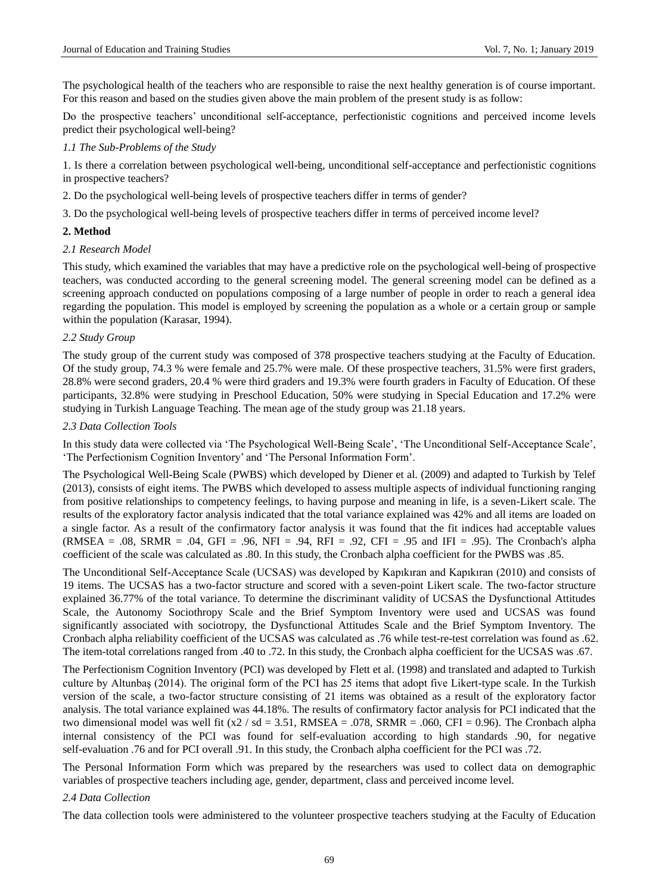The psychological health of the teachers who are responsible to raise the next healthy generation is of course important. For this reason and based on the studies given above the main problem of the present study is as follow:

Do the prospective teachers' unconditional self-acceptance, perfectionistic cognitions and perceived income levels predict their psychological well-being?

## *1.1 The Sub-Problems of the Study*

1. Is there a correlation between psychological well-being, unconditional self-acceptance and perfectionistic cognitions in prospective teachers?

2. Do the psychological well-being levels of prospective teachers differ in terms of gender?

3. Do the psychological well-being levels of prospective teachers differ in terms of perceived income level?

## **2. Method**

## *2.1 Research Model*

This study, which examined the variables that may have a predictive role on the psychological well-being of prospective teachers, was conducted according to the general screening model. The general screening model can be defined as a screening approach conducted on populations composing of a large number of people in order to reach a general idea regarding the population. This model is employed by screening the population as a whole or a certain group or sample within the population (Karasar, 1994).

## *2.2 Study Group*

The study group of the current study was composed of 378 prospective teachers studying at the Faculty of Education. Of the study group, 74.3 % were female and 25.7% were male. Of these prospective teachers, 31.5% were first graders, 28.8% were second graders, 20.4 % were third graders and 19.3% were fourth graders in Faculty of Education. Of these participants, 32.8% were studying in Preschool Education, 50% were studying in Special Education and 17.2% were studying in Turkish Language Teaching. The mean age of the study group was 21.18 years.

## *2.3 Data Collection Tools*

In this study data were collected via 'The Psychological Well-Being Scale', 'The Unconditional Self-Acceptance Scale', 'The Perfectionism Cognition Inventory' and 'The Personal Information Form'.

The Psychological Well-Being Scale (PWBS) which developed by Diener et al. (2009) and adapted to Turkish by Telef (2013), consists of eight items. The PWBS which developed to assess multiple aspects of individual functioning ranging from positive relationships to competency feelings, to having purpose and meaning in life, is a seven-Likert scale. The results of the exploratory factor analysis indicated that the total variance explained was 42% and all items are loaded on a single factor. As a result of the confirmatory factor analysis it was found that the fit indices had acceptable values  $(RMSEA = .08, SRMR = .04, GFI = .96, NFI = .94, RFI = .92, CFI = .95$  and IFI = .95). The Cronbach's alpha coefficient of the scale was calculated as .80. In this study, the Cronbach alpha coefficient for the PWBS was .85.

The Unconditional Self-Acceptance Scale (UCSAS) was developed by Kapıkıran and Kapıkıran (2010) and consists of 19 items. The UCSAS has a two-factor structure and scored with a seven-point Likert scale. The two-factor structure explained 36.77% of the total variance. To determine the discriminant validity of UCSAS the Dysfunctional Attitudes Scale, the Autonomy Sociothropy Scale and the Brief Symptom Inventory were used and UCSAS was found significantly associated with sociotropy, the Dysfunctional Attitudes Scale and the Brief Symptom Inventory. The Cronbach alpha reliability coefficient of the UCSAS was calculated as .76 while test-re-test correlation was found as .62. The item-total correlations ranged from .40 to .72. In this study, the Cronbach alpha coefficient for the UCSAS was .67.

The Perfectionism Cognition Inventory (PCI) was developed by Flett et al. (1998) and translated and adapted to Turkish culture by Altunbaş (2014). The original form of the PCI has 25 items that adopt five Likert-type scale. In the Turkish version of the scale, a two-factor structure consisting of 21 items was obtained as a result of the exploratory factor analysis. The total variance explained was 44.18%. The results of confirmatory factor analysis for PCI indicated that the two dimensional model was well fit  $(x2 / sd = 3.51$ , RMSEA = .078, SRMR = .060, CFI = 0.96). The Cronbach alpha internal consistency of the PCI was found for self-evaluation according to high standards .90, for negative self-evaluation .76 and for PCI overall .91. In this study, the Cronbach alpha coefficient for the PCI was .72.

The Personal Information Form which was prepared by the researchers was used to collect data on demographic variables of prospective teachers including age, gender, department, class and perceived income level.

## *2.4 Data Collection*

The data collection tools were administered to the volunteer prospective teachers studying at the Faculty of Education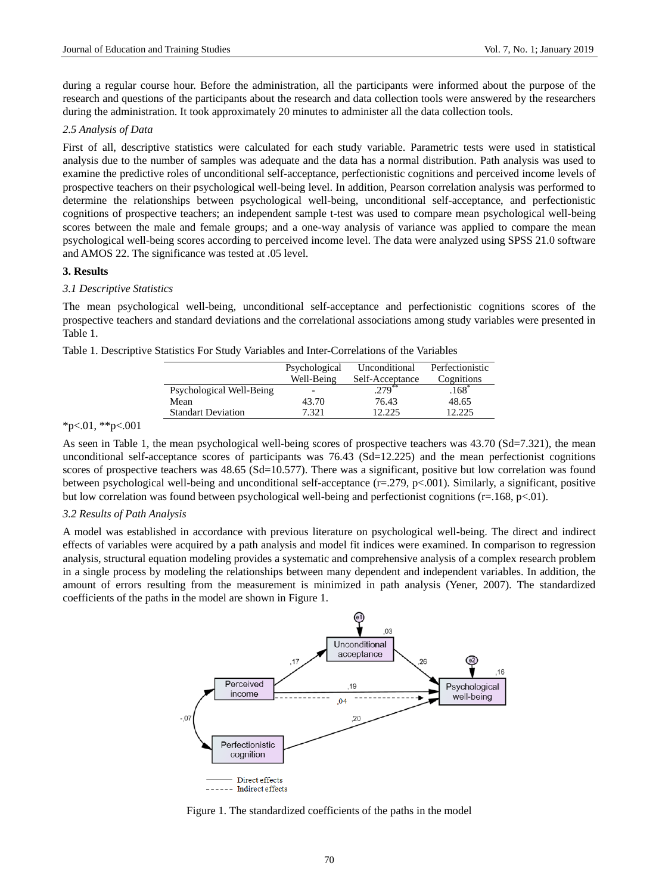during a regular course hour. Before the administration, all the participants were informed about the purpose of the research and questions of the participants about the research and data collection tools were answered by the researchers during the administration. It took approximately 20 minutes to administer all the data collection tools.

## *2.5 Analysis of Data*

First of all, descriptive statistics were calculated for each study variable. Parametric tests were used in statistical analysis due to the number of samples was adequate and the data has a normal distribution. Path analysis was used to examine the predictive roles of unconditional self-acceptance, perfectionistic cognitions and perceived income levels of prospective teachers on their psychological well-being level. In addition, Pearson correlation analysis was performed to determine the relationships between psychological well-being, unconditional self-acceptance, and perfectionistic cognitions of prospective teachers; an independent sample t-test was used to compare mean psychological well-being scores between the male and female groups; and a one-way analysis of variance was applied to compare the mean psychological well-being scores according to perceived income level. The data were analyzed using SPSS 21.0 software and AMOS 22. The significance was tested at .05 level.

## **3. Results**

## *3.1 Descriptive Statistics*

The mean psychological well-being, unconditional self-acceptance and perfectionistic cognitions scores of the prospective teachers and standard deviations and the correlational associations among study variables were presented in Table 1.

| Table 1. Descriptive Statistics For Study Variables and Inter-Correlations of the Variables |  |  |  |
|---------------------------------------------------------------------------------------------|--|--|--|
|---------------------------------------------------------------------------------------------|--|--|--|

|                           | Psychological<br>Well-Being | Unconditional<br>Self-Acceptance | Perfectionistic<br>Cognitions |
|---------------------------|-----------------------------|----------------------------------|-------------------------------|
| Psychological Well-Being  |                             | $.279***$                        | $.168*$                       |
| Mean                      | 43.70                       | 76.43                            | 48.65                         |
| <b>Standart Deviation</b> | 7 321                       | 12.225                           | 2.225                         |

## $*p<.01$ ,  $*p<.001$

As seen in Table 1, the mean psychological well-being scores of prospective teachers was 43.70 (Sd=7.321), the mean unconditional self-acceptance scores of participants was 76.43 (Sd=12.225) and the mean perfectionist cognitions scores of prospective teachers was 48.65 (Sd=10.577). There was a significant, positive but low correlation was found between psychological well-being and unconditional self-acceptance (r=.279, p<.001). Similarly, a significant, positive but low correlation was found between psychological well-being and perfectionist cognitions (r=.168, p<.01).

#### *3.2 Results of Path Analysis*

A model was established in accordance with previous literature on psychological well-being. The direct and indirect effects of variables were acquired by a path analysis and model fit indices were examined. In comparison to regression analysis, structural equation modeling provides a systematic and comprehensive analysis of a complex research problem in a single process by modeling the relationships between many dependent and independent variables. In addition, the amount of errors resulting from the measurement is minimized in path analysis (Yener, 2007). The standardized coefficients of the paths in the model are shown in Figure 1.



Figure 1. The standardized coefficients of the paths in the model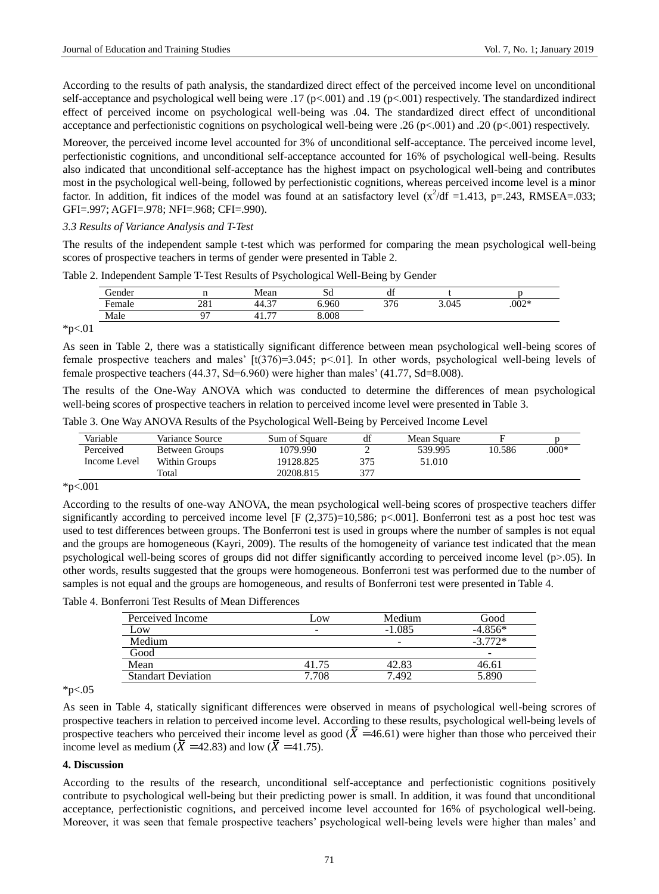According to the results of path analysis, the standardized direct effect of the perceived income level on unconditional self-acceptance and psychological well being were .17 (p<.001) and .19 (p<.001) respectively. The standardized indirect effect of perceived income on psychological well-being was .04. The standardized direct effect of unconditional acceptance and perfectionistic cognitions on psychological well-being were .26 (p<.001) and .20 (p<.001) respectively.

Moreover, the perceived income level accounted for 3% of unconditional self-acceptance. The perceived income level, perfectionistic cognitions, and unconditional self-acceptance accounted for 16% of psychological well-being. Results also indicated that unconditional self-acceptance has the highest impact on psychological well-being and contributes most in the psychological well-being, followed by perfectionistic cognitions, whereas perceived income level is a minor factor. In addition, fit indices of the model was found at an satisfactory level  $(x^2/df = 1.413, p = .243, RMSEA = .033;$ GFI=.997; AGFI=.978; NFI=.968; CFI=.990).

## *3.3 Results of Variance Analysis and T-Test*

The results of the independent sample t-test which was performed for comparing the mean psychological well-being scores of prospective teachers in terms of gender were presented in Table 2.

|  |  | Table 2. Independent Sample T-Test Results of Psychological Well-Being by Gender |
|--|--|----------------------------------------------------------------------------------|
|  |  |                                                                                  |

| ⌒<br>dender |             | Mean                              | n<br>ЮU | $\mathbf{r}$<br>ai |       |         |
|-------------|-------------|-----------------------------------|---------|--------------------|-------|---------|
| -<br>Female | 0.01<br>401 | $\sim$<br>44.3′                   | 6.960   | 376<br>້.          | 3.045 | $.002*$ |
| Male        | $\sim$      | $\overline{$<br>$\Lambda^*$<br>41 | 8.008   |                    |       |         |

 $*p<.01$ 

As seen in Table 2, there was a statistically significant difference between mean psychological well-being scores of female prospective teachers and males'  $[t(376)=3.045; p<0.1]$ . In other words, psychological well-being levels of female prospective teachers (44.37, Sd=6.960) were higher than males' (41.77, Sd=8.008).

The results of the One-Way ANOVA which was conducted to determine the differences of mean psychological well-being scores of prospective teachers in relation to perceived income level were presented in Table 3.

Table 3. One Way ANOVA Results of the Psychological Well-Being by Perceived Income Level

| Variable     | Variance Source | Sum of Square | df  | Mean Square |        |         |
|--------------|-----------------|---------------|-----|-------------|--------|---------|
| Perceived    | Between Groups  | 1079.990      |     | 539.995     | 10.586 | $.000*$ |
| Income Level | Within Groups   | 19128.825     | 375 | 51.010      |        |         |
|              | Total           | 20208.815     | 377 |             |        |         |

\*p<.001

According to the results of one-way ANOVA, the mean psychological well-being scores of prospective teachers differ significantly according to perceived income level  $[F (2,375)=10,586; p<.001]$ . Bonferroni test as a post hoc test was used to test differences between groups. The Bonferroni test is used in groups where the number of samples is not equal and the groups are homogeneous (Kayri, 2009). The results of the homogeneity of variance test indicated that the mean psychological well-being scores of groups did not differ significantly according to perceived income level (p>.05). In other words, results suggested that the groups were homogeneous. Bonferroni test was performed due to the number of samples is not equal and the groups are homogeneous, and results of Bonferroni test were presented in Table 4.

Table 4. Bonferroni Test Results of Mean Differences

| Perceived Income          | Low   | Medium                   | Good      |
|---------------------------|-------|--------------------------|-----------|
| Low                       | -     | $-1.085$                 | $-4.856*$ |
| Medium                    |       | $\overline{\phantom{a}}$ | $-3.772*$ |
| Good                      |       |                          | -         |
| Mean                      | 41.75 | 42.83                    | 46.61     |
| <b>Standart Deviation</b> | 7.708 | 7.492                    | 5 890     |

 $*p<.05$ 

As seen in Table 4, statically significant differences were observed in means of psychological well-being scrores of prospective teachers in relation to perceived income level. According to these results, psychological well-being levels of prospective teachers who perceived their income level as good ( $\overline{X}$  =46.61) were higher than those who perceived their income level as medium ( $\overline{X}$  =42.83) and low ( $\overline{X}$  =41.75).

#### **4. Discussion**

According to the results of the research, unconditional self-acceptance and perfectionistic cognitions positively contribute to psychological well-being but their predicting power is small. In addition, it was found that unconditional acceptance, perfectionistic cognitions, and perceived income level accounted for 16% of psychological well-being. Moreover, it was seen that female prospective teachers' psychological well-being levels were higher than males' and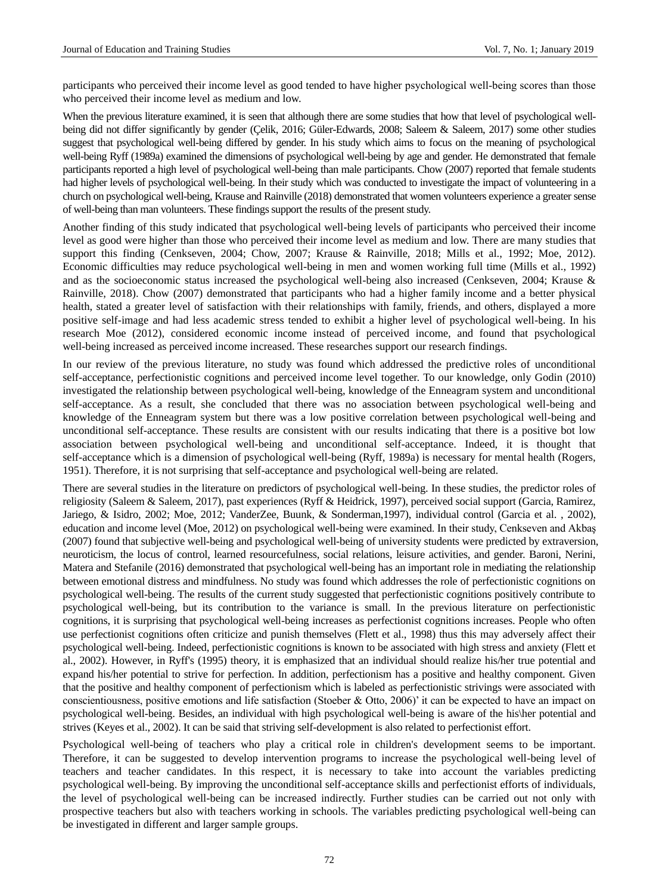participants who perceived their income level as good tended to have higher psychological well‐being scores than those who perceived their income level as medium and low.

When the previous literature examined, it is seen that although there are some studies that how that level of psychological wellbeing did not differ significantly by gender (Çelik, 2016; Güler-Edwards, 2008; Saleem & Saleem, 2017) some other studies suggest that psychological well-being differed by gender. In his study which aims to focus on the meaning of psychological well-being Ryff (1989a) examined the dimensions of psychological well-being by age and gender. He demonstrated that female participants reported a high level of psychological well-being than male participants. Chow (2007) reported that female students had higher levels of psychological well-being. In their study which was conducted to investigate the impact of volunteering in a church on psychological well-being, Krause and Rainville (2018) demonstrated that women volunteers experience a greater sense of well-being than man volunteers. These findings support the results of the present study.

Another finding of this study indicated that psychological well-being levels of participants who perceived their income level as good were higher than those who perceived their income level as medium and low. There are many studies that support this finding (Cenkseven, 2004; Chow, 2007; Krause & Rainville, 2018; Mills et al., 1992; Moe, 2012). Economic difficulties may reduce psychological well-being in men and women working full time (Mills et al., 1992) and as the socioeconomic status increased the psychological well-being also increased (Cenkseven, 2004; Krause & Rainville, 2018). Chow (2007) demonstrated that participants who had a higher family income and a better physical health, stated a greater level of satisfaction with their relationships with family, friends, and others, displayed a more positive self-image and had less academic stress tended to exhibit a higher level of psychological well-being. In his research Moe (2012), considered economic income instead of perceived income, and found that psychological well-being increased as perceived income increased. These researches support our research findings.

In our review of the previous literature, no study was found which addressed the predictive roles of unconditional self-acceptance, perfectionistic cognitions and perceived income level together. To our knowledge, only Godin (2010) investigated the relationship between psychological well-being, knowledge of the Enneagram system and unconditional self-acceptance. As a result, she concluded that there was no association between psychological well-being and knowledge of the Enneagram system but there was a low positive correlation between psychological well-being and unconditional self-acceptance. These results are consistent with our results indicating that there is a positive bot low association between psychological well-being and unconditional self-acceptance. Indeed, it is thought that self-acceptance which is a dimension of psychological well-being (Ryff, 1989a) is necessary for mental health (Rogers, 1951). Therefore, it is not surprising that self-acceptance and psychological well-being are related.

There are several studies in the literature on predictors of psychological well-being. In these studies, the predictor roles of religiosity (Saleem & Saleem, 2017), past experiences (Ryff & Heidrick, 1997), perceived social support (Garcia, Ramirez, Jariego, & Isidro, 2002; Moe, 2012; VanderZee, Buunk, & Sonderman,1997), individual control (Garcia et al. , 2002), education and income level (Moe, 2012) on psychological well-being were examined. In their study, Cenkseven and Akbaş (2007) found that subjective well-being and psychological well-being of university students were predicted by extraversion, neuroticism, the locus of control, learned resourcefulness, social relations, leisure activities, and gender. Baroni, Nerini, Matera and Stefanile (2016) demonstrated that psychological well-being has an important role in mediating the relationship between emotional distress and mindfulness. No study was found which addresses the role of perfectionistic cognitions on psychological well-being. The results of the current study suggested that perfectionistic cognitions positively contribute to psychological well-being, but its contribution to the variance is small. In the previous literature on perfectionistic cognitions, it is surprising that psychological well-being increases as perfectionist cognitions increases. People who often use perfectionist cognitions often criticize and punish themselves (Flett et al., 1998) thus this may adversely affect their psychological well-being. Indeed, perfectionistic cognitions is known to be associated with high stress and anxiety (Flett et al., 2002). However, in Ryff's (1995) theory, it is emphasized that an individual should realize his/her true potential and expand his/her potential to strive for perfection. In addition, perfectionism has a positive and healthy component. Given that the positive and healthy component of perfectionism which is labeled as perfectionistic strivings were associated with conscientiousness, positive emotions and life satisfaction (Stoeber & Otto, 2006)' it can be expected to have an impact on psychological well-being. Besides, an individual with high psychological well-being is aware of the his\her potential and strives (Keyes et al., 2002). It can be said that striving self-development is also related to perfectionist effort.

Psychological well-being of teachers who play a critical role in children's development seems to be important. Therefore, it can be suggested to develop intervention programs to increase the psychological well-being level of teachers and teacher candidates. In this respect, it is necessary to take into account the variables predicting psychological well-being. By improving the unconditional self-acceptance skills and perfectionist efforts of individuals, the level of psychological well-being can be increased indirectly. Further studies can be carried out not only with prospective teachers but also with teachers working in schools. The variables predicting psychological well-being can be investigated in different and larger sample groups.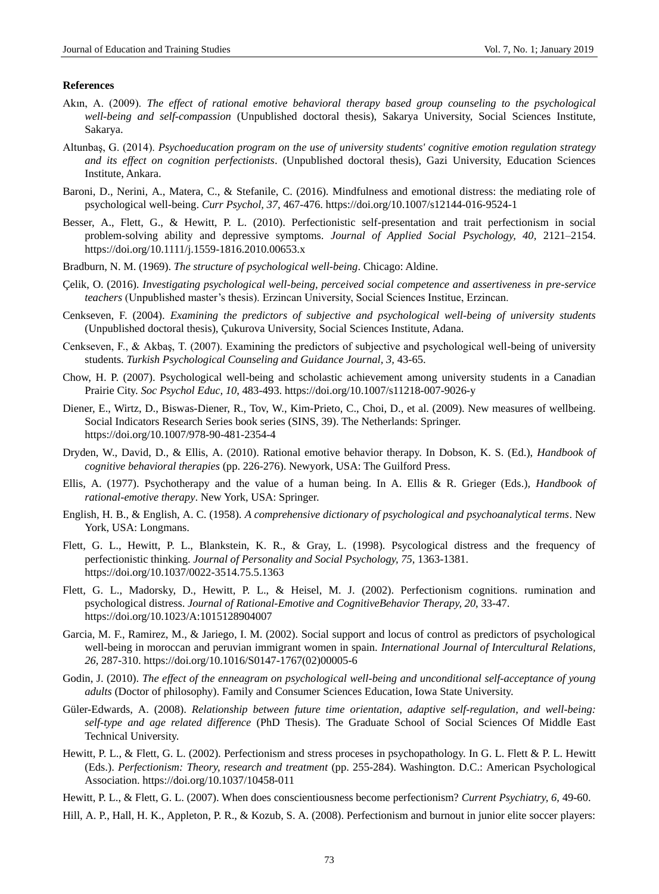#### **References**

- Akın, A. (2009). *The effect of rational emotive behavioral therapy based group counseling to the psychological well-being and self-compassion* (Unpublished doctoral thesis), Sakarya University, Social Sciences Institute, Sakarya.
- Altunbaş, G. (2014). *Psychoeducation program on the use of university students' cognitive emotion regulation strategy and its effect on cognition perfectionists*. (Unpublished doctoral thesis), Gazi University, Education Sciences Institute, Ankara.
- Baroni, D., Nerini, A., Matera, C., & Stefanile, C. (2016). Mindfulness and emotional distress: the mediating role of psychological well-being. *Curr Psychol, 37,* 467-476.<https://doi.org/10.1007/s12144-016-9524-1>
- Besser, A., Flett, G., & Hewitt, P. L. (2010). Perfectionistic self-presentation and trait perfectionism in social problem-solving ability and depressive symptoms. *Journal of Applied Social Psychology, 40,* 2121–2154. <https://doi.org/10.1111/j.1559-1816.2010.00653.x>
- Bradburn, N. M. (1969). *The structure of psychological well-being*. Chicago: Aldine.
- Çelik, O. (2016). *Investigating psychological well-being, perceived social competence and assertiveness in pre-service teachers* (Unpublished master's thesis). Erzincan University, Social Sciences Institue, Erzincan.
- Cenkseven, F. (2004). *Examining the predictors of subjective and psychological well-being of university students*  (Unpublished doctoral thesis), Çukurova University, Social Sciences Institute, Adana.
- Cenkseven, F., & Akbaş, T. (2007). Examining the predictors of subjective and psychological well-being of university students. *Turkish Psychological Counseling and Guidance Journal, 3,* 43-65.
- Chow, H. P. (2007). Psychological well-being and scholastic achievement among university students in a Canadian Prairie City. *Soc Psychol Educ, 10*, 483-493. <https://doi.org/10.1007/s11218-007-9026-y>
- Diener, E., Wirtz, D., Biswas-Diener, R., Tov, W., Kim-Prieto, C., Choi, D., et al. (2009). New measures of wellbeing. Social Indicators Research Series book series (SINS, 39). The Netherlands: Springer. <https://doi.org/10.1007/978-90-481-2354-4>
- Dryden, W., David, D., & Ellis, A. (2010). Rational emotive behavior therapy. In Dobson, K. S. (Ed.), *Handbook of cognitive behavioral therapies* (pp. 226-276). Newyork, USA: The Guilford Press.
- Ellis, A. (1977). Psychotherapy and the value of a human being. In A. Ellis & R. Grieger (Eds.), *Handbook of rational-emotive therapy*. New York, USA: Springer.
- English, H. B., & English, A. C. (1958). *A comprehensive dictionary of psychological and psychoanalytical terms*. New York, USA: Longmans.
- Flett, G. L., Hewitt, P. L., Blankstein, K. R., & Gray, L. (1998). Psycological distress and the frequency of perfectionistic thinking. *Journal of Personality and Social Psychology, 75,* 1363-1381. <https://doi.org/10.1037/0022-3514.75.5.1363>
- Flett, G. L., Madorsky, D., Hewitt, P. L., & Heisel, M. J. (2002). Perfectionism cognitions. rumination and psychological distress. *Journal of Rational-Emotive and CognitiveBehavior Therapy, 20*, 33-47. <https://doi.org/10.1023/A:1015128904007>
- Garcia, M. F., Ramirez, M., & Jariego, I. M. (2002). Social support and locus of control as predictors of psychological well-being in moroccan and peruvian immigrant women in spain. *International Journal of Intercultural Relations, 26,* 287-310. [https://doi.org/10.1016/S0147-1767\(02\)00005-6](https://doi.org/10.1016/S0147-1767(02)00005-6)
- Godin, J. (2010). *The effect of the enneagram on psychological well-being and unconditional self-acceptance of young adults* (Doctor of philosophy). Family and Consumer Sciences Education, Iowa State University.
- Güler-Edwards, A. (2008). *Relationship between future time orientation, adaptive self-regulation, and well-being: self-type and age related difference* (PhD Thesis). The Graduate School of Social Sciences Of Middle East Technical University.
- Hewitt, P. L., & Flett, G. L. (2002). Perfectionism and stress proceses in psychopathology. In G. L. Flett & P. L. Hewitt (Eds.). *Perfectionism: Theory, research and treatment* (pp. 255-284). Washington. D.C.: American Psychological Association. <https://doi.org/10.1037/10458-011>
- Hewitt, P. L., & Flett, G. L. (2007). When does conscientiousness become perfectionism? *Current Psychiatry, 6,* 49-60.

Hill, A. P., Hall, H. K., Appleton, P. R., & Kozub, S. A. (2008). Perfectionism and burnout in junior elite soccer players: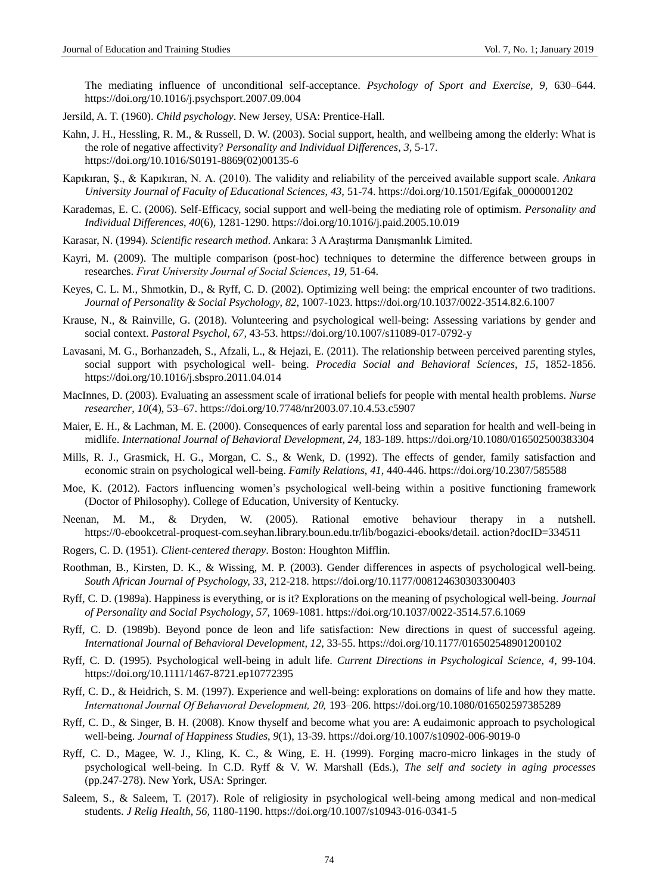The mediating influence of unconditional self-acceptance. *Psychology of Sport and Exercise, 9,* 630–644. <https://doi.org/10.1016/j.psychsport.2007.09.004>

- Jersild, A. T. (1960). *Child psychology*. New Jersey, USA: Prentice-Hall.
- Kahn, J. H., Hessling, R. M., & Russell, D. W. (2003). Social support, health, and wellbeing among the elderly: What is the role of negative affectivity? *Personality and Individual Differences*, *3*, 5-17. [https://doi.org/10.1016/S0191-8869\(02\)00135-6](https://doi.org/10.1016/S0191-8869(02)00135-6)
- Kapıkıran, Ş., & Kapıkıran, N. A. (2010). The validity and reliability of the perceived available support scale. *Ankara University Journal of Faculty of Educational Sciences*, *43*, 51-74. [https://doi.org/10.1501/Egifak\\_0000001202](https://doi.org/10.1501/Egifak_0000001202)
- Karademas, E. C. (2006). Self-Efficacy, social support and well-being the mediating role of optimism. *Personality and Individual Differences*, *40*(6), 1281-1290. <https://doi.org/10.1016/j.paid.2005.10.019>
- Karasar, N. (1994). *Scientific research method*. Ankara: 3 A Araştırma Danışmanlık Limited.
- Kayri, M. (2009). The multiple comparison (post-hoc) techniques to determine the difference between groups in researches. *Fırat University Journal of Social Sciences*, *19,* 51-64.
- Keyes, C. L. M., Shmotkin, D., & Ryff, C. D. (2002). Optimizing well being: the emprical encounter of two traditions. *Journal of Personality & Social Psychology*, *82*, 1007-1023. <https://doi.org/10.1037/0022-3514.82.6.1007>
- Krause, N., & Rainville, G. (2018). Volunteering and psychological well-being: Assessing variations by gender and social context. *Pastoral Psychol, 67,* 43-53. <https://doi.org/10.1007/s11089-017-0792-y>
- Lavasani, M. G., Borhanzadeh, S., Afzali, L., & Hejazi, E. (2011). The relationship between perceived parenting styles, social support with psychological well- being. *Procedia Social and Behavioral Sciences, 15,* 1852-1856. <https://doi.org/10.1016/j.sbspro.2011.04.014>
- MacInnes, D. (2003). Evaluating an assessment scale of irrational beliefs for people with mental health problems. *Nurse researcher*, *10*(4), 53–67. <https://doi.org/10.7748/nr2003.07.10.4.53.c5907>
- Maier, E. H., & Lachman, M. E. (2000). Consequences of early parental loss and separation for health and well-being in midlife. *International Journal of Behavioral Development*, *24*, 183-189. <https://doi.org/10.1080/016502500383304>
- Mills, R. J., Grasmick, H. G., Morgan, C. S., & Wenk, D. (1992). The effects of gender, family satisfaction and economic strain on psychological well-being. *Family Relations, 41*, 440-446. <https://doi.org/10.2307/585588>
- Moe, K. (2012). Factors influencing women's psychological well-being within a positive functioning framework (Doctor of Philosophy). College of Education, University of Kentucky.
- Neenan, M. M., & Dryden, W. (2005). Rational emotive behaviour therapy in a nutshell. https://0-ebookcetral-proquest-com.seyhan.library.boun.edu.tr/lib/bogazici-ebooks/detail. action?docID=334511
- Rogers, C. D. (1951). *Client-centered therapy*. Boston: Houghton Mifflin.
- Roothman, B., Kirsten, D. K., & Wissing, M. P. (2003). Gender differences in aspects of psychological well-being. *South African Journal of Psychology, 33*, 212-218. <https://doi.org/10.1177/008124630303300403>
- Ryff, C. D. (1989a). Happiness is everything, or is it? Explorations on the meaning of psychological well-being. *Journal of Personality and Social Psychology*, *57*, 1069-1081. <https://doi.org/10.1037/0022-3514.57.6.1069>
- Ryff, C. D. (1989b). Beyond ponce de leon and life satisfaction: New directions in quest of successful ageing. *International Journal of Behavioral Development, 12,* 33-55. <https://doi.org/10.1177/016502548901200102>
- Ryff, C. D. (1995). Psychological well-being in adult life. *Current Directions in Psychological Science, 4,* 99-104. <https://doi.org/10.1111/1467-8721.ep10772395>
- Ryff, C. D., & Heidrich, S. M. (1997). Experience and well-being: explorations on domains of life and how they matte. *Internatıonal Journal Of Behavıoral Development, 20,* 193–206. <https://doi.org/10.1080/016502597385289>
- Ryff, C. D., & Singer, B. H. (2008). Know thyself and become what you are: A eudaimonic approach to psychological well-being. *Journal of Happiness Studies*, *9*(1), 13-39. <https://doi.org/10.1007/s10902-006-9019-0>
- Ryff, C. D., Magee, W. J., Kling, K. C., & Wing, E. H. (1999). Forging macro-micro linkages in the study of psychological well-being. In C.D. Ryff & V. W. Marshall (Eds.), *The self and society in aging processes* (pp.247-278). New York, USA: Springer.
- Saleem, S., & Saleem, T. (2017). Role of religiosity in psychological well-being among medical and non-medical students. *J Relig Health, 56,* 1180-1190. <https://doi.org/10.1007/s10943-016-0341-5>